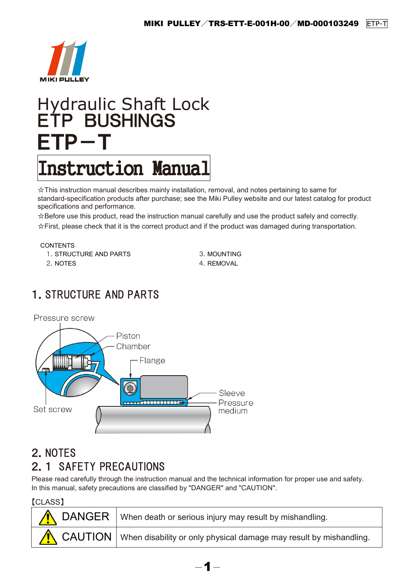

# Hydraulic Shaft Lock ETP BUSHINGS ETP-T

# Instruction Manual

☆This instruction manual describes mainly installation, removal, and notes pertaining to same for standard-specification products after purchase; see the Miki Pulley website and our latest catalog for product specifications and performance.

☆Before use this product, read the instruction manual carefully and use the product safely and correctly. ☆First, please check that it is the correct product and if the product was damaged during transportation.

**CONTENTS** 

1. STRUCTURE AND PARTS 3. MOUNTING

2. NOTES 4. REMOVAL

# 1.STRUCTURE AND PARTS



# 2.NOTES 2.1 SAFETY PRECAUTIONS

Please read carefully through the instruction manual and the technical information for proper use and safety. In this manual, safety precautions are classified by "DANGER" and "CAUTION".

【CLASS】

| <b>I</b> OLAUUI | DANGER   When death or serious injury may result by mishandling.             |
|-----------------|------------------------------------------------------------------------------|
|                 | CAUTION   When disability or only physical damage may result by mishandling. |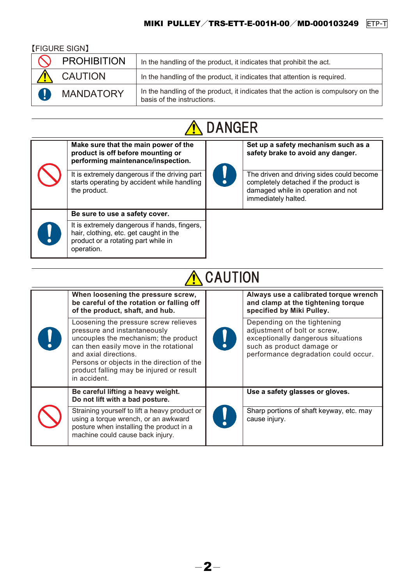## 【FIGURE SIGN】

| <b>PROHIBITION</b> | In the handling of the product, it indicates that prohibit the act.                                             |
|--------------------|-----------------------------------------------------------------------------------------------------------------|
| <b>CAUTION</b>     | In the handling of the product, it indicates that attention is required.                                        |
| <b>MANDATORY</b>   | In the handling of the product, it indicates that the action is compulsory on the<br>basis of the instructions. |



| Make sure that the main power of the<br>product is off before mounting or<br>performing maintenance/inspection.<br>It is extremely dangerous if the driving part<br>starts operating by accident while handling<br>the product. | Į | Set up a safety mechanism such as a<br>safety brake to avoid any danger.<br>The driven and driving sides could become<br>completely detached if the product is<br>damaged while in operation and not<br>immediately halted. |
|---------------------------------------------------------------------------------------------------------------------------------------------------------------------------------------------------------------------------------|---|-----------------------------------------------------------------------------------------------------------------------------------------------------------------------------------------------------------------------------|
| Be sure to use a safety cover.                                                                                                                                                                                                  |   |                                                                                                                                                                                                                             |
| It is extremely dangerous if hands, fingers,<br>hair, clothing, etc. get caught in the<br>product or a rotating part while in<br>operation.                                                                                     |   |                                                                                                                                                                                                                             |

| <b>CAUTION</b>                                                                                                                                                                                                                                                                             |  |                                                                                                                                                                        |  |  |  |
|--------------------------------------------------------------------------------------------------------------------------------------------------------------------------------------------------------------------------------------------------------------------------------------------|--|------------------------------------------------------------------------------------------------------------------------------------------------------------------------|--|--|--|
| When loosening the pressure screw,<br>be careful of the rotation or falling off<br>of the product, shaft, and hub.                                                                                                                                                                         |  | Always use a calibrated torque wrench<br>and clamp at the tightening torque<br>specified by Miki Pulley.                                                               |  |  |  |
| Loosening the pressure screw relieves<br>pressure and instantaneously<br>uncouples the mechanism; the product<br>can then easily move in the rotational<br>and axial directions.<br>Persons or objects in the direction of the<br>product falling may be injured or result<br>in accident. |  | Depending on the tightening<br>adjustment of bolt or screw,<br>exceptionally dangerous situations<br>such as product damage or<br>performance degradation could occur. |  |  |  |
| Be careful lifting a heavy weight.<br>Do not lift with a bad posture.                                                                                                                                                                                                                      |  | Use a safety glasses or gloves.                                                                                                                                        |  |  |  |
| Straining yourself to lift a heavy product or<br>using a torque wrench, or an awkward<br>posture when installing the product in a<br>machine could cause back injury.                                                                                                                      |  | Sharp portions of shaft keyway, etc. may<br>cause injury.                                                                                                              |  |  |  |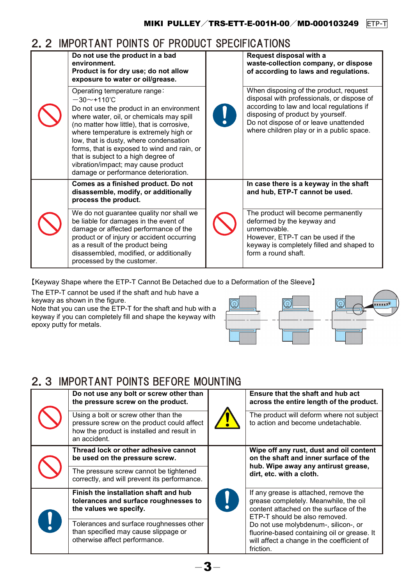## 2.2 IMPORTANT POINTS OF PRODUCT SPECIFICATIONS

| Do not use the product in a bad<br>environment.<br>Product is for dry use; do not allow<br>exposure to water or oil/grease.                                                                                                                                                                                                                                                                                                                  | Request disposal with a<br>waste-collection company, or dispose<br>of according to laws and regulations.                                                                                                                                                     |  |
|----------------------------------------------------------------------------------------------------------------------------------------------------------------------------------------------------------------------------------------------------------------------------------------------------------------------------------------------------------------------------------------------------------------------------------------------|--------------------------------------------------------------------------------------------------------------------------------------------------------------------------------------------------------------------------------------------------------------|--|
| Operating temperature range:<br>$-30$ ~+110°C<br>Do not use the product in an environment<br>where water, oil, or chemicals may spill<br>(no matter how little), that is corrosive,<br>where temperature is extremely high or<br>low, that is dusty, where condensation<br>forms, that is exposed to wind and rain, or<br>that is subject to a high degree of<br>vibration/impact; may cause product<br>damage or performance deterioration. | When disposing of the product, request<br>disposal with professionals, or dispose of<br>according to law and local regulations if<br>disposing of product by yourself.<br>Do not dispose of or leave unattended<br>where children play or in a public space. |  |
| Comes as a finished product. Do not<br>disassemble, modify, or additionally<br>process the product.                                                                                                                                                                                                                                                                                                                                          | In case there is a keyway in the shaft<br>and hub, ETP-T cannot be used.                                                                                                                                                                                     |  |
| We do not guarantee quality nor shall we<br>be liable for damages in the event of<br>damage or affected performance of the<br>product or of injury or accident occurring<br>as a result of the product being<br>disassembled, modified, or additionally<br>processed by the customer.                                                                                                                                                        | The product will become permanently<br>deformed by the keyway and<br>unremovable.<br>However, ETP-T can be used if the<br>keyway is completely filled and shaped to<br>form a round shaft.                                                                   |  |

【Keyway Shape where the ETP-T Cannot Be Detached due to a Deformation of the Sleeve】

The ETP-T cannot be used if the shaft and hub have a keyway as shown in the figure.

Note that you can use the ETP-T for the shaft and hub with a keyway if you can completely fill and shape the keyway with epoxy putty for metals.



## 2.3 IMPORTANT POINTS REFORE MOUNTING

|  | Do not use any bolt or screw other than<br>the pressure screw on the product.                                                                    |  | Ensure that the shaft and hub act<br>across the entire length of the product.                                                                             |  |
|--|--------------------------------------------------------------------------------------------------------------------------------------------------|--|-----------------------------------------------------------------------------------------------------------------------------------------------------------|--|
|  | Using a bolt or screw other than the<br>pressure screw on the product could affect<br>how the product is installed and result in<br>an accident. |  | The product will deform where not subject<br>to action and become undetachable.                                                                           |  |
|  | Thread lock or other adhesive cannot<br>be used on the pressure screw.                                                                           |  | Wipe off any rust, dust and oil content<br>on the shaft and inner surface of the<br>hub. Wipe away any antirust grease,<br>dirt, etc. with a cloth.       |  |
|  | The pressure screw cannot be tightened<br>correctly, and will prevent its performance.                                                           |  |                                                                                                                                                           |  |
|  | Finish the installation shaft and hub<br>tolerances and surface roughnesses to<br>the values we specify.                                         |  | If any grease is attached, remove the<br>grease completely. Meanwhile, the oil<br>content attached on the surface of the<br>ETP-T should be also removed. |  |
|  | Tolerances and surface roughnesses other<br>than specified may cause slippage or<br>otherwise affect performance.                                |  | Do not use molybdenum-, silicon-, or<br>fluorine-based containing oil or grease. It<br>will affect a change in the coefficient of<br>friction.            |  |

-3-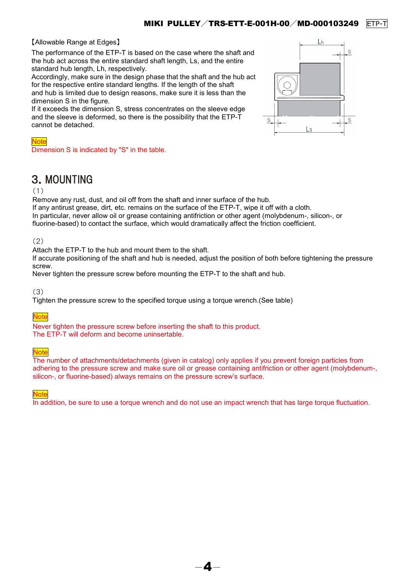### 【Allowable Range at Edges】

The performance of the ETP-T is based on the case where the shaft and the hub act across the entire standard shaft length, Ls, and the entire standard hub length, Lh, respectively.

Accordingly, make sure in the design phase that the shaft and the hub act for the respective entire standard lengths. If the length of the shaft and hub is limited due to design reasons, make sure it is less than the dimension S in the figure.

If it exceeds the dimension S, stress concentrates on the sleeve edge and the sleeve is deformed, so there is the possibility that the ETP-T cannot be detached.



#### Note

Dimension S is indicated by "S" in the table.

## 3.MOUNTING

#### (1)

Remove any rust, dust, and oil off from the shaft and inner surface of the hub. If any antirust grease, dirt, etc. remains on the surface of the ETP-T, wipe it off with a cloth. In particular, never allow oil or grease containing antifriction or other agent (molybdenum-, silicon-, or fluorine-based) to contact the surface, which would dramatically affect the friction coefficient.

## (2)

Attach the ETP-T to the hub and mount them to the shaft.

If accurate positioning of the shaft and hub is needed, adjust the position of both before tightening the pressure screw.

Never tighten the pressure screw before mounting the ETP-T to the shaft and hub.

(3)

Tighten the pressure screw to the specified torque using a torque wrench.(See table)

## **Note**

Never tighten the pressure screw before inserting the shaft to this product. The ETP-T will deform and become uninsertable.

## **Note**

The number of attachments/detachments (given in catalog) only applies if you prevent foreign particles from adhering to the pressure screw and make sure oil or grease containing antifriction or other agent (molybdenum-, silicon-, or fluorine-based) always remains on the pressure screw's surface.

**Note** 

In addition, be sure to use a torque wrench and do not use an impact wrench that has large torque fluctuation.

 $-\bm{4}-$